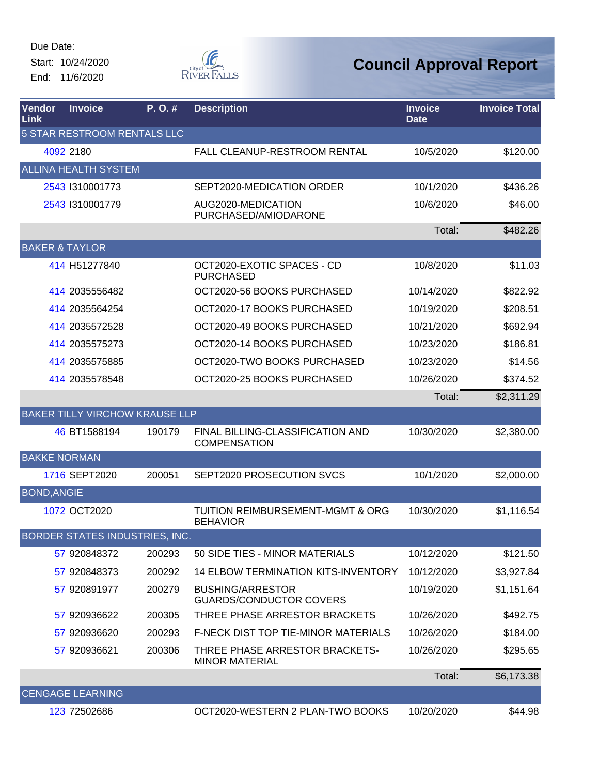Due Date: Start: 10/24/2020 End: 11/6/2020



| Vendor<br>Link      | <b>Invoice</b>                        | P.O.#  | <b>Description</b>                                        | <b>Invoice</b><br><b>Date</b> | <b>Invoice Total</b> |
|---------------------|---------------------------------------|--------|-----------------------------------------------------------|-------------------------------|----------------------|
|                     | 5 STAR RESTROOM RENTALS LLC           |        |                                                           |                               |                      |
|                     | 4092 2180                             |        | FALL CLEANUP-RESTROOM RENTAL                              | 10/5/2020                     | \$120.00             |
|                     | <b>ALLINA HEALTH SYSTEM</b>           |        |                                                           |                               |                      |
|                     | 2543 1310001773                       |        | SEPT2020-MEDICATION ORDER                                 | 10/1/2020                     | \$436.26             |
|                     | 2543 1310001779                       |        | AUG2020-MEDICATION<br>PURCHASED/AMIODARONE                | 10/6/2020                     | \$46.00              |
|                     |                                       |        |                                                           | Total:                        | \$482.26             |
|                     | <b>BAKER &amp; TAYLOR</b>             |        |                                                           |                               |                      |
|                     | 414 H51277840                         |        | OCT2020-EXOTIC SPACES - CD<br><b>PURCHASED</b>            | 10/8/2020                     | \$11.03              |
|                     | 414 2035556482                        |        | OCT2020-56 BOOKS PURCHASED                                | 10/14/2020                    | \$822.92             |
|                     | 414 2035564254                        |        | OCT2020-17 BOOKS PURCHASED                                | 10/19/2020                    | \$208.51             |
|                     | 414 2035572528                        |        | OCT2020-49 BOOKS PURCHASED                                | 10/21/2020                    | \$692.94             |
|                     | 414 2035575273                        |        | OCT2020-14 BOOKS PURCHASED                                | 10/23/2020                    | \$186.81             |
|                     | 414 2035575885                        |        | OCT2020-TWO BOOKS PURCHASED                               | 10/23/2020                    | \$14.56              |
|                     | 414 2035578548                        |        | OCT2020-25 BOOKS PURCHASED                                | 10/26/2020                    | \$374.52             |
|                     |                                       |        |                                                           | Total:                        | \$2,311.29           |
|                     | <b>BAKER TILLY VIRCHOW KRAUSE LLP</b> |        |                                                           |                               |                      |
|                     | 46 BT1588194                          | 190179 | FINAL BILLING-CLASSIFICATION AND<br><b>COMPENSATION</b>   | 10/30/2020                    | \$2,380.00           |
| <b>BAKKE NORMAN</b> |                                       |        |                                                           |                               |                      |
|                     | 1716 SEPT2020                         | 200051 | SEPT2020 PROSECUTION SVCS                                 | 10/1/2020                     | \$2,000.00           |
| <b>BOND, ANGIE</b>  |                                       |        |                                                           |                               |                      |
|                     | 1072 OCT2020                          |        | TUITION REIMBURSEMENT-MGMT & ORG<br><b>BEHAVIOR</b>       | 10/30/2020                    | \$1,116.54           |
|                     | BORDER STATES INDUSTRIES, INC.        |        |                                                           |                               |                      |
|                     | 57 920848372                          | 200293 | 50 SIDE TIES - MINOR MATERIALS                            | 10/12/2020                    | \$121.50             |
|                     | 57 920848373                          | 200292 | <b>14 ELBOW TERMINATION KITS-INVENTORY</b>                | 10/12/2020                    | \$3,927.84           |
|                     | 57 920891977                          | 200279 | <b>BUSHING/ARRESTOR</b><br><b>GUARDS/CONDUCTOR COVERS</b> | 10/19/2020                    | \$1,151.64           |
|                     | 57 920936622                          | 200305 | THREE PHASE ARRESTOR BRACKETS                             | 10/26/2020                    | \$492.75             |
|                     | 57 920936620                          | 200293 | F-NECK DIST TOP TIE-MINOR MATERIALS                       | 10/26/2020                    | \$184.00             |
|                     | 57 920936621                          | 200306 | THREE PHASE ARRESTOR BRACKETS-<br><b>MINOR MATERIAL</b>   | 10/26/2020                    | \$295.65             |
|                     |                                       |        |                                                           | Total:                        | \$6,173.38           |
|                     | <b>CENGAGE LEARNING</b>               |        |                                                           |                               |                      |
|                     | 123 72502686                          |        | OCT2020-WESTERN 2 PLAN-TWO BOOKS                          | 10/20/2020                    | \$44.98              |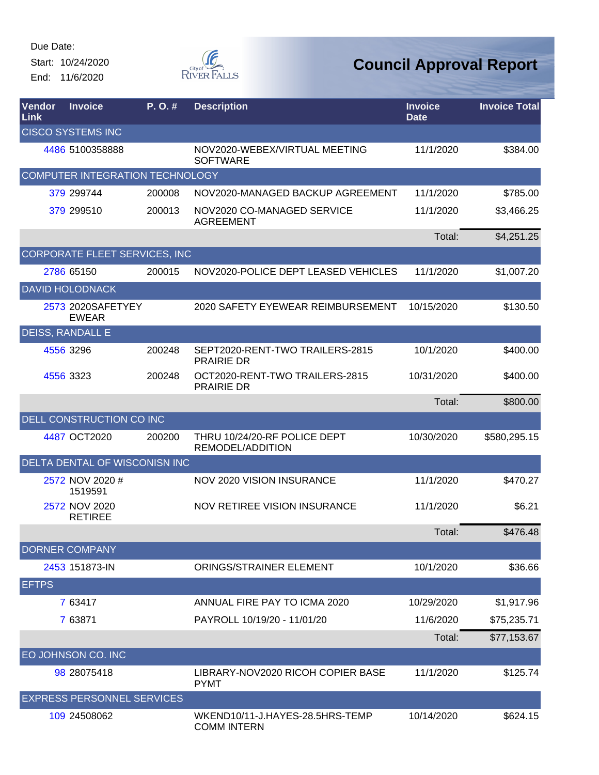Start: 10/24/2020 End: 11/6/2020



| Vendor<br><b>Link</b> | <b>Invoice</b>                    | $P. O.$ # | <b>Description</b>                                    | <b>Invoice</b><br><b>Date</b> | <b>Invoice Total</b> |
|-----------------------|-----------------------------------|-----------|-------------------------------------------------------|-------------------------------|----------------------|
|                       | <b>CISCO SYSTEMS INC</b>          |           |                                                       |                               |                      |
|                       | 4486 5100358888                   |           | NOV2020-WEBEX/VIRTUAL MEETING<br><b>SOFTWARE</b>      | 11/1/2020                     | \$384.00             |
|                       | COMPUTER INTEGRATION TECHNOLOGY   |           |                                                       |                               |                      |
|                       | 379 299744                        | 200008    | NOV2020-MANAGED BACKUP AGREEMENT                      | 11/1/2020                     | \$785.00             |
|                       | 379 299510                        | 200013    | NOV2020 CO-MANAGED SERVICE<br><b>AGREEMENT</b>        | 11/1/2020                     | \$3,466.25           |
|                       |                                   |           |                                                       | Total:                        | \$4,251.25           |
|                       | CORPORATE FLEET SERVICES, INC     |           |                                                       |                               |                      |
|                       | 2786 65150                        | 200015    | NOV2020-POLICE DEPT LEASED VEHICLES                   | 11/1/2020                     | \$1,007.20           |
|                       | <b>DAVID HOLODNACK</b>            |           |                                                       |                               |                      |
|                       | 2573 2020SAFETYEY<br><b>EWEAR</b> |           | 2020 SAFETY EYEWEAR REIMBURSEMENT                     | 10/15/2020                    | \$130.50             |
|                       | <b>DEISS, RANDALL E</b>           |           |                                                       |                               |                      |
|                       | 4556 3296                         | 200248    | SEPT2020-RENT-TWO TRAILERS-2815<br><b>PRAIRIE DR</b>  | 10/1/2020                     | \$400.00             |
|                       | 4556 3323                         | 200248    | OCT2020-RENT-TWO TRAILERS-2815<br><b>PRAIRIE DR</b>   | 10/31/2020                    | \$400.00             |
|                       |                                   |           |                                                       | Total:                        | \$800.00             |
|                       | DELL CONSTRUCTION CO INC          |           |                                                       |                               |                      |
|                       | 4487 OCT2020                      | 200200    | THRU 10/24/20-RF POLICE DEPT<br>REMODEL/ADDITION      | 10/30/2020                    | \$580,295.15         |
|                       | DELTA DENTAL OF WISCONISN INC     |           |                                                       |                               |                      |
|                       | 2572 NOV 2020 #<br>1519591        |           | <b>NOV 2020 VISION INSURANCE</b>                      | 11/1/2020                     | \$470.27             |
|                       | 2572 NOV 2020<br><b>RETIREE</b>   |           | NOV RETIREE VISION INSURANCE                          | 11/1/2020                     | \$6.21               |
|                       |                                   |           |                                                       | Total:                        | \$476.48             |
|                       | <b>DORNER COMPANY</b>             |           |                                                       |                               |                      |
|                       | 2453 151873-IN                    |           | ORINGS/STRAINER ELEMENT                               | 10/1/2020                     | \$36.66              |
| <b>EFTPS</b>          |                                   |           |                                                       |                               |                      |
|                       | 7 63417                           |           | ANNUAL FIRE PAY TO ICMA 2020                          | 10/29/2020                    | \$1,917.96           |
|                       | 7 63871                           |           | PAYROLL 10/19/20 - 11/01/20                           | 11/6/2020                     | \$75,235.71          |
|                       |                                   |           |                                                       | Total:                        | \$77,153.67          |
|                       | EO JOHNSON CO. INC                |           |                                                       |                               |                      |
|                       | 98 28075418                       |           | LIBRARY-NOV2020 RICOH COPIER BASE<br><b>PYMT</b>      | 11/1/2020                     | \$125.74             |
|                       | <b>EXPRESS PERSONNEL SERVICES</b> |           |                                                       |                               |                      |
|                       | 109 24508062                      |           | WKEND10/11-J.HAYES-28.5HRS-TEMP<br><b>COMM INTERN</b> | 10/14/2020                    | \$624.15             |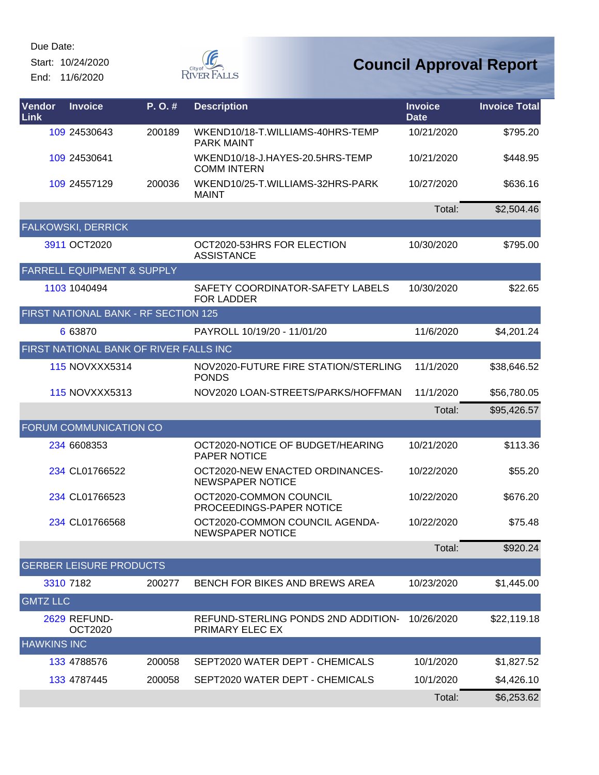Start: 10/24/2020 End: 11/6/2020



| Vendor<br>Link     | <b>Invoice</b>                         | P.O.#  | <b>Description</b>                                         | <b>Invoice</b><br><b>Date</b> | <b>Invoice Total</b> |
|--------------------|----------------------------------------|--------|------------------------------------------------------------|-------------------------------|----------------------|
|                    | 109 24530643                           | 200189 | WKEND10/18-T.WILLIAMS-40HRS-TEMP<br><b>PARK MAINT</b>      | 10/21/2020                    | \$795.20             |
|                    | 109 24530641                           |        | WKEND10/18-J.HAYES-20.5HRS-TEMP<br><b>COMM INTERN</b>      | 10/21/2020                    | \$448.95             |
|                    | 109 24557129                           | 200036 | WKEND10/25-T.WILLIAMS-32HRS-PARK<br><b>MAINT</b>           | 10/27/2020                    | \$636.16             |
|                    |                                        |        |                                                            | Total:                        | \$2,504.46           |
|                    | <b>FALKOWSKI, DERRICK</b>              |        |                                                            |                               |                      |
|                    | 3911 OCT2020                           |        | OCT2020-53HRS FOR ELECTION<br><b>ASSISTANCE</b>            | 10/30/2020                    | \$795.00             |
|                    | <b>FARRELL EQUIPMENT &amp; SUPPLY</b>  |        |                                                            |                               |                      |
|                    | 1103 1040494                           |        | SAFETY COORDINATOR-SAFETY LABELS<br><b>FOR LADDER</b>      | 10/30/2020                    | \$22.65              |
|                    | FIRST NATIONAL BANK - RF SECTION 125   |        |                                                            |                               |                      |
|                    | 6 63870                                |        | PAYROLL 10/19/20 - 11/01/20                                | 11/6/2020                     | \$4,201.24           |
|                    | FIRST NATIONAL BANK OF RIVER FALLS INC |        |                                                            |                               |                      |
|                    | <b>115 NOVXXX5314</b>                  |        | NOV2020-FUTURE FIRE STATION/STERLING<br><b>PONDS</b>       | 11/1/2020                     | \$38,646.52          |
|                    | 115 NOVXXX5313                         |        | NOV2020 LOAN-STREETS/PARKS/HOFFMAN                         | 11/1/2020                     | \$56,780.05          |
|                    |                                        |        |                                                            | Total:                        | \$95,426.57          |
|                    | FORUM COMMUNICATION CO                 |        |                                                            |                               |                      |
|                    | 234 6608353                            |        | OCT2020-NOTICE OF BUDGET/HEARING<br>PAPER NOTICE           | 10/21/2020                    | \$113.36             |
|                    | 234 CL01766522                         |        | OCT2020-NEW ENACTED ORDINANCES-<br><b>NEWSPAPER NOTICE</b> | 10/22/2020                    | \$55.20              |
|                    | 234 CL01766523                         |        | OCT2020-COMMON COUNCIL<br>PROCEEDINGS-PAPER NOTICE         | 10/22/2020                    | \$676.20             |
|                    | 234 CL01766568                         |        | OCT2020-COMMON COUNCIL AGENDA-<br><b>NEWSPAPER NOTICE</b>  | 10/22/2020                    | \$75.48              |
|                    |                                        |        |                                                            | Total:                        | \$920.24             |
|                    | <b>GERBER LEISURE PRODUCTS</b>         |        |                                                            |                               |                      |
|                    | 3310 7182                              | 200277 | BENCH FOR BIKES AND BREWS AREA                             | 10/23/2020                    | \$1,445.00           |
| <b>GMTZ LLC</b>    |                                        |        |                                                            |                               |                      |
|                    | 2629 REFUND-<br><b>OCT2020</b>         |        | REFUND-STERLING PONDS 2ND ADDITION-<br>PRIMARY ELEC EX     | 10/26/2020                    | \$22,119.18          |
| <b>HAWKINS INC</b> |                                        |        |                                                            |                               |                      |
|                    | 133 4788576                            | 200058 | SEPT2020 WATER DEPT - CHEMICALS                            | 10/1/2020                     | \$1,827.52           |
|                    | 133 4787445                            | 200058 | SEPT2020 WATER DEPT - CHEMICALS                            | 10/1/2020                     | \$4,426.10           |
|                    |                                        |        |                                                            | Total:                        | \$6,253.62           |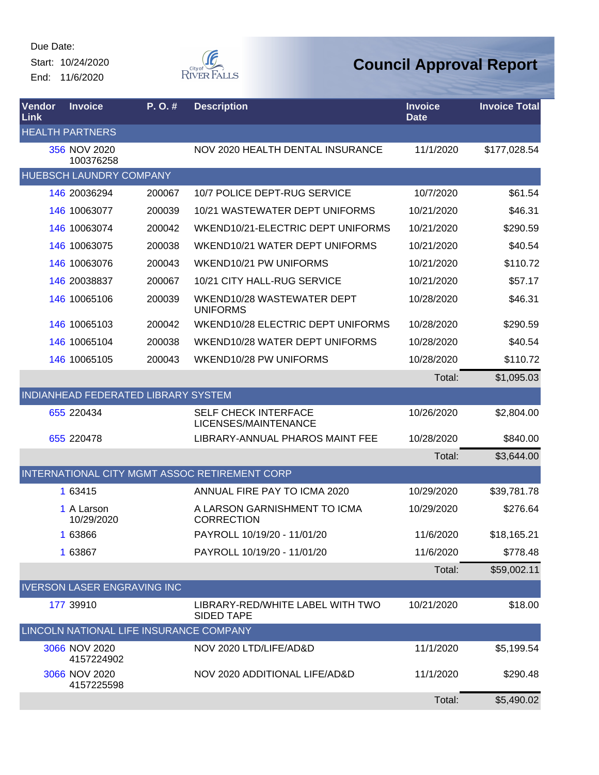Start: 10/24/2020 End: 11/6/2020



| Vendor<br>Link | <b>Invoice</b>                     | P.O.#                                   | <b>Description</b>                                  | <b>Invoice</b><br><b>Date</b> | <b>Invoice Total</b> |
|----------------|------------------------------------|-----------------------------------------|-----------------------------------------------------|-------------------------------|----------------------|
|                | <b>HEALTH PARTNERS</b>             |                                         |                                                     |                               |                      |
|                | 356 NOV 2020<br>100376258          |                                         | NOV 2020 HEALTH DENTAL INSURANCE                    | 11/1/2020                     | \$177,028.54         |
|                | HUEBSCH LAUNDRY COMPANY            |                                         |                                                     |                               |                      |
|                | 146 20036294                       | 200067                                  | 10/7 POLICE DEPT-RUG SERVICE                        | 10/7/2020                     | \$61.54              |
|                | 146 10063077                       | 200039                                  | 10/21 WASTEWATER DEPT UNIFORMS                      | 10/21/2020                    | \$46.31              |
|                | 146 10063074                       | 200042                                  | WKEND10/21-ELECTRIC DEPT UNIFORMS                   | 10/21/2020                    | \$290.59             |
|                | 146 10063075                       | 200038                                  | WKEND10/21 WATER DEPT UNIFORMS                      | 10/21/2020                    | \$40.54              |
|                | 146 10063076                       | 200043                                  | WKEND10/21 PW UNIFORMS                              | 10/21/2020                    | \$110.72             |
|                | 146 20038837                       | 200067                                  | 10/21 CITY HALL-RUG SERVICE                         | 10/21/2020                    | \$57.17              |
|                | 146 10065106                       | 200039                                  | WKEND10/28 WASTEWATER DEPT<br><b>UNIFORMS</b>       | 10/28/2020                    | \$46.31              |
|                | 146 10065103                       | 200042                                  | WKEND10/28 ELECTRIC DEPT UNIFORMS                   | 10/28/2020                    | \$290.59             |
|                | 146 10065104                       | 200038                                  | WKEND10/28 WATER DEPT UNIFORMS                      | 10/28/2020                    | \$40.54              |
|                | 146 10065105                       | 200043                                  | WKEND10/28 PW UNIFORMS                              | 10/28/2020                    | \$110.72             |
|                |                                    |                                         |                                                     | Total:                        | \$1,095.03           |
|                |                                    | INDIANHEAD FEDERATED LIBRARY SYSTEM     |                                                     |                               |                      |
|                | 655 220434                         |                                         | <b>SELF CHECK INTERFACE</b><br>LICENSES/MAINTENANCE | 10/26/2020                    | \$2,804.00           |
|                | 655 220478                         |                                         | LIBRARY-ANNUAL PHAROS MAINT FEE                     | 10/28/2020                    | \$840.00             |
|                |                                    |                                         |                                                     | Total:                        | \$3,644.00           |
|                |                                    |                                         | INTERNATIONAL CITY MGMT ASSOC RETIREMENT CORP       |                               |                      |
|                | 1 63415                            |                                         | ANNUAL FIRE PAY TO ICMA 2020                        | 10/29/2020                    | \$39,781.78          |
|                | 1 A Larson<br>10/29/2020           |                                         | A LARSON GARNISHMENT TO ICMA<br><b>CORRECTION</b>   | 10/29/2020                    | \$276.64             |
|                | 1 63866                            |                                         | PAYROLL 10/19/20 - 11/01/20                         | 11/6/2020                     | \$18,165.21          |
|                | 1 63867                            |                                         | PAYROLL 10/19/20 - 11/01/20                         | 11/6/2020                     | \$778.48             |
|                |                                    |                                         |                                                     | Total:                        | \$59,002.11          |
|                | <b>IVERSON LASER ENGRAVING INC</b> |                                         |                                                     |                               |                      |
|                | 177 39910                          |                                         | LIBRARY-RED/WHITE LABEL WITH TWO<br>SIDED TAPE      | 10/21/2020                    | \$18.00              |
|                |                                    | LINCOLN NATIONAL LIFE INSURANCE COMPANY |                                                     |                               |                      |
|                | 3066 NOV 2020<br>4157224902        |                                         | NOV 2020 LTD/LIFE/AD&D                              | 11/1/2020                     | \$5,199.54           |
|                | 3066 NOV 2020<br>4157225598        |                                         | NOV 2020 ADDITIONAL LIFE/AD&D                       | 11/1/2020                     | \$290.48             |
|                |                                    |                                         |                                                     | Total:                        | \$5,490.02           |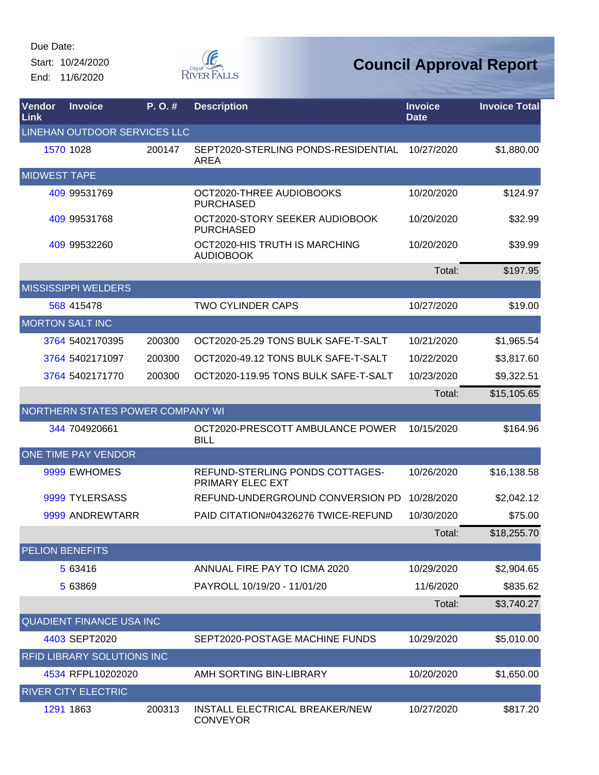Start: 10/24/2020 End: 11/6/2020



| Vendor<br>Link         | <b>Invoice</b>                    | P.O.#  | <b>Description</b>                                  | <b>Invoice</b><br><b>Date</b> | <b>Invoice Total</b> |
|------------------------|-----------------------------------|--------|-----------------------------------------------------|-------------------------------|----------------------|
|                        | LINEHAN OUTDOOR SERVICES LLC      |        |                                                     |                               |                      |
|                        | 1570 1028                         | 200147 | SEPT2020-STERLING PONDS-RESIDENTIAL<br><b>AREA</b>  | 10/27/2020                    | \$1,880.00           |
| <b>MIDWEST TAPE</b>    |                                   |        |                                                     |                               |                      |
|                        | 409 99531769                      |        | OCT2020-THREE AUDIOBOOKS<br><b>PURCHASED</b>        | 10/20/2020                    | \$124.97             |
|                        | 409 99531768                      |        | OCT2020-STORY SEEKER AUDIOBOOK<br><b>PURCHASED</b>  | 10/20/2020                    | \$32.99              |
|                        | 409 99532260                      |        | OCT2020-HIS TRUTH IS MARCHING<br><b>AUDIOBOOK</b>   | 10/20/2020                    | \$39.99              |
|                        |                                   |        |                                                     | Total:                        | \$197.95             |
|                        | <b>MISSISSIPPI WELDERS</b>        |        |                                                     |                               |                      |
|                        | 568 415478                        |        | <b>TWO CYLINDER CAPS</b>                            | 10/27/2020                    | \$19.00              |
|                        | <b>MORTON SALT INC</b>            |        |                                                     |                               |                      |
|                        | 3764 5402170395                   | 200300 | OCT2020-25.29 TONS BULK SAFE-T-SALT                 | 10/21/2020                    | \$1,965.54           |
|                        | 3764 5402171097                   | 200300 | OCT2020-49.12 TONS BULK SAFE-T-SALT                 | 10/22/2020                    | \$3,817.60           |
|                        | 3764 5402171770                   | 200300 | OCT2020-119.95 TONS BULK SAFE-T-SALT                | 10/23/2020                    | \$9,322.51           |
|                        |                                   |        |                                                     | Total:                        | \$15,105.65          |
|                        | NORTHERN STATES POWER COMPANY WI  |        |                                                     |                               |                      |
|                        | 344 704920661                     |        | OCT2020-PRESCOTT AMBULANCE POWER<br><b>BILL</b>     | 10/15/2020                    | \$164.96             |
|                        | ONE TIME PAY VENDOR               |        |                                                     |                               |                      |
|                        | 9999 EWHOMES                      |        | REFUND-STERLING PONDS COTTAGES-<br>PRIMARY ELEC EXT | 10/26/2020                    | \$16,138.58          |
|                        | 9999 TYLERSASS                    |        | REFUND-UNDERGROUND CONVERSION PD                    | 10/28/2020                    | \$2,042.12           |
|                        | 9999 ANDREWTARR                   |        | PAID CITATION#04326276 TWICE-REFUND                 | 10/30/2020                    | \$75.00              |
|                        |                                   |        |                                                     | Total:                        | \$18,255.70          |
| <b>PELION BENEFITS</b> |                                   |        |                                                     |                               |                      |
|                        | 5 63416                           |        | ANNUAL FIRE PAY TO ICMA 2020                        | 10/29/2020                    | \$2,904.65           |
|                        | 5 63869                           |        | PAYROLL 10/19/20 - 11/01/20                         | 11/6/2020                     | \$835.62             |
|                        |                                   |        |                                                     | Total:                        | \$3,740.27           |
|                        | <b>QUADIENT FINANCE USA INC</b>   |        |                                                     |                               |                      |
|                        | 4403 SEPT2020                     |        | SEPT2020-POSTAGE MACHINE FUNDS                      | 10/29/2020                    | \$5,010.00           |
|                        | <b>RFID LIBRARY SOLUTIONS INC</b> |        |                                                     |                               |                      |
|                        | 4534 RFPL10202020                 |        | AMH SORTING BIN-LIBRARY                             | 10/20/2020                    | \$1,650.00           |
|                        | <b>RIVER CITY ELECTRIC</b>        |        |                                                     |                               |                      |
|                        | 1291 1863                         | 200313 | INSTALL ELECTRICAL BREAKER/NEW<br><b>CONVEYOR</b>   | 10/27/2020                    | \$817.20             |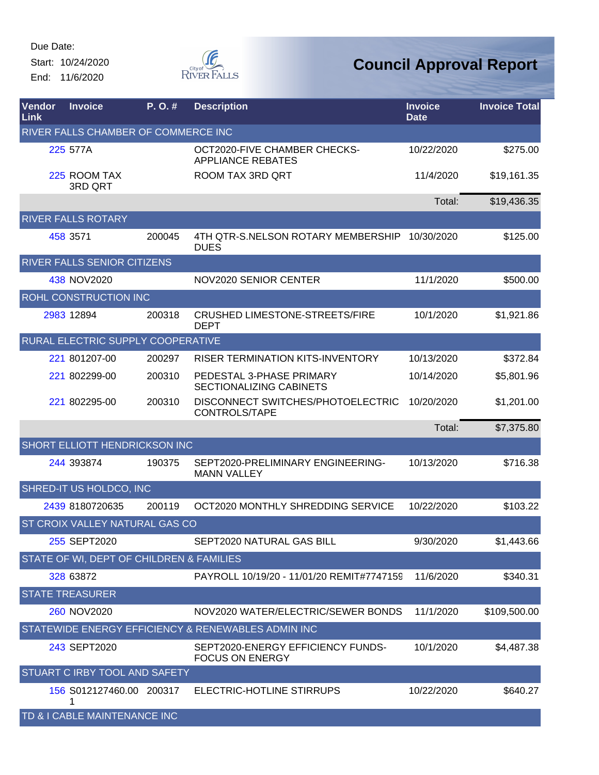Start: 10/24/2020 End: 11/6/2020



| Vendor<br>Link                      | <b>Invoice</b>                           | $P. O.$ # | <b>Description</b>                                          | <b>Invoice</b><br><b>Date</b> | <b>Invoice Total</b> |  |  |
|-------------------------------------|------------------------------------------|-----------|-------------------------------------------------------------|-------------------------------|----------------------|--|--|
| RIVER FALLS CHAMBER OF COMMERCE INC |                                          |           |                                                             |                               |                      |  |  |
|                                     | 225 577A                                 |           | OCT2020-FIVE CHAMBER CHECKS-<br><b>APPLIANCE REBATES</b>    | 10/22/2020                    | \$275.00             |  |  |
|                                     | 225 ROOM TAX<br>3RD QRT                  |           | ROOM TAX 3RD QRT                                            | 11/4/2020                     | \$19,161.35          |  |  |
|                                     |                                          |           |                                                             | Total:                        | \$19,436.35          |  |  |
|                                     | <b>RIVER FALLS ROTARY</b>                |           |                                                             |                               |                      |  |  |
|                                     | 458 3571                                 | 200045    | 4TH QTR-S.NELSON ROTARY MEMBERSHIP<br><b>DUES</b>           | 10/30/2020                    | \$125.00             |  |  |
|                                     | <b>RIVER FALLS SENIOR CITIZENS</b>       |           |                                                             |                               |                      |  |  |
|                                     | 438 NOV2020                              |           | <b>NOV2020 SENIOR CENTER</b>                                | 11/1/2020                     | \$500.00             |  |  |
|                                     | <b>ROHL CONSTRUCTION INC</b>             |           |                                                             |                               |                      |  |  |
|                                     | 2983 12894                               | 200318    | <b>CRUSHED LIMESTONE-STREETS/FIRE</b><br><b>DEPT</b>        | 10/1/2020                     | \$1,921.86           |  |  |
|                                     | RURAL ELECTRIC SUPPLY COOPERATIVE        |           |                                                             |                               |                      |  |  |
|                                     | 221 801207-00                            | 200297    | <b>RISER TERMINATION KITS-INVENTORY</b>                     | 10/13/2020                    | \$372.84             |  |  |
|                                     | 221 802299-00                            | 200310    | PEDESTAL 3-PHASE PRIMARY<br>SECTIONALIZING CABINETS         | 10/14/2020                    | \$5,801.96           |  |  |
|                                     | 221 802295-00                            | 200310    | DISCONNECT SWITCHES/PHOTOELECTRIC<br>CONTROLS/TAPE          | 10/20/2020                    | \$1,201.00           |  |  |
|                                     |                                          |           |                                                             | Total:                        | \$7,375.80           |  |  |
|                                     | SHORT ELLIOTT HENDRICKSON INC            |           |                                                             |                               |                      |  |  |
|                                     | 244 393874                               | 190375    | SEPT2020-PRELIMINARY ENGINEERING-<br><b>MANN VALLEY</b>     | 10/13/2020                    | \$716.38             |  |  |
|                                     | SHRED-IT US HOLDCO, INC                  |           |                                                             |                               |                      |  |  |
|                                     | 2439 8180720635                          | 200119    | OCT2020 MONTHLY SHREDDING SERVICE                           | 10/22/2020                    | \$103.22             |  |  |
|                                     | ST CROIX VALLEY NATURAL GAS CO           |           |                                                             |                               |                      |  |  |
|                                     | 255 SEPT2020                             |           | SEPT2020 NATURAL GAS BILL                                   | 9/30/2020                     | \$1,443.66           |  |  |
|                                     | STATE OF WI, DEPT OF CHILDREN & FAMILIES |           |                                                             |                               |                      |  |  |
|                                     | 328 63872                                |           | PAYROLL 10/19/20 - 11/01/20 REMIT#7747159                   | 11/6/2020                     | \$340.31             |  |  |
|                                     | <b>STATE TREASURER</b>                   |           |                                                             |                               |                      |  |  |
|                                     | 260 NOV2020                              |           | NOV2020 WATER/ELECTRIC/SEWER BONDS                          | 11/1/2020                     | \$109,500.00         |  |  |
|                                     |                                          |           | STATEWIDE ENERGY EFFICIENCY & RENEWABLES ADMIN INC          |                               |                      |  |  |
|                                     | 243 SEPT2020                             |           | SEPT2020-ENERGY EFFICIENCY FUNDS-<br><b>FOCUS ON ENERGY</b> | 10/1/2020                     | \$4,487.38           |  |  |
|                                     | STUART C IRBY TOOL AND SAFETY            |           |                                                             |                               |                      |  |  |
|                                     | 156 S012127460.00 200317<br>1            |           | ELECTRIC-HOTLINE STIRRUPS                                   | 10/22/2020                    | \$640.27             |  |  |
|                                     | TD & I CABLE MAINTENANCE INC             |           |                                                             |                               |                      |  |  |